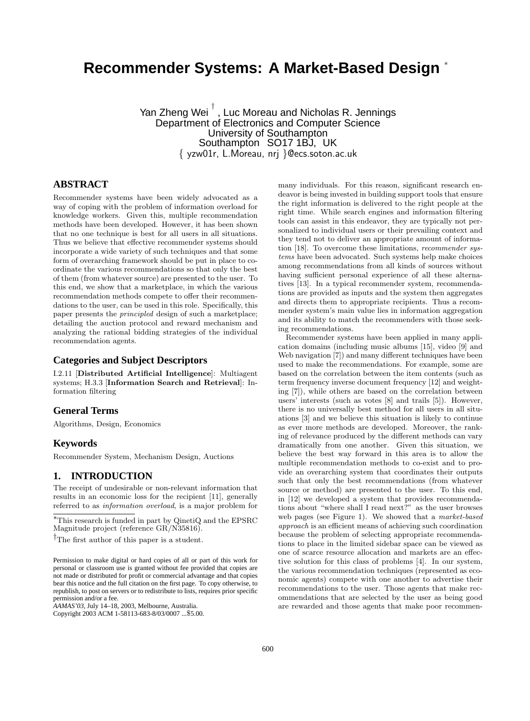# **Recommender Systems: A Market-Based Design** <sup>∗</sup>

Yan Zheng Wei  $^\dagger$  , Luc Moreau and Nicholas R. Jennings Department of Electronics and Computer Science University of Southampton Southampton SO17 1BJ, UK { yzw01r, L.Moreau, nrj }@ecs.soton.ac.uk

# **ABSTRACT**

Recommender systems have been widely advocated as a way of coping with the problem of information overload for knowledge workers. Given this, multiple recommendation methods have been developed. However, it has been shown that no one technique is best for all users in all situations. Thus we believe that effective recommender systems should incorporate a wide variety of such techniques and that some form of overarching framework should be put in place to coordinate the various recommendations so that only the best of them (from whatever source) are presented to the user. To this end, we show that a marketplace, in which the various recommendation methods compete to offer their recommendations to the user, can be used in this role. Specifically, this paper presents the principled design of such a marketplace; detailing the auction protocol and reward mechanism and analyzing the rational bidding strategies of the individual recommendation agents.

## **Categories and Subject Descriptors**

I.2.11 [Distributed Artificial Intelligence]: Multiagent systems; H.3.3 [Information Search and Retrieval]: Information filtering

## **General Terms**

Algorithms, Design, Economics

## **Keywords**

Recommender System, Mechanism Design, Auctions

# **1. INTRODUCTION**

The receipt of undesirable or non-relevant information that results in an economic loss for the recipient [11], generally referred to as information overload, is a major problem for

*AAMAS'03,* July 14–18, 2003, Melbourne, Australia.

many individuals. For this reason, significant research endeavor is being invested in building support tools that ensure the right information is delivered to the right people at the right time. While search engines and information filtering tools can assist in this endeavor, they are typically not personalized to individual users or their prevailing context and they tend not to deliver an appropriate amount of information [18]. To overcome these limitations, recommender systems have been advocated. Such systems help make choices among recommendations from all kinds of sources without having sufficient personal experience of all these alternatives [13]. In a typical recommender system, recommendations are provided as inputs and the system then aggregates and directs them to appropriate recipients. Thus a recommender system's main value lies in information aggregation and its ability to match the recommenders with those seeking recommendations.

Recommender systems have been applied in many application domains (including music albums [15], video [9] and Web navigation [7]) and many different techniques have been used to make the recommendations. For example, some are based on the correlation between the item contents (such as term frequency inverse document frequency [12] and weighting [7]), while others are based on the correlation between users' interests (such as votes [8] and trails [5]). However, there is no universally best method for all users in all situations [3] and we believe this situation is likely to continue as ever more methods are developed. Moreover, the ranking of relevance produced by the different methods can vary dramatically from one another. Given this situation, we believe the best way forward in this area is to allow the multiple recommendation methods to co-exist and to provide an overarching system that coordinates their outputs such that only the best recommendations (from whatever source or method) are presented to the user. To this end, in [12] we developed a system that provides recommendations about "where shall I read next?" as the user browses web pages (see Figure 1). We showed that a market-based approach is an efficient means of achieving such coordination because the problem of selecting appropriate recommendations to place in the limited sidebar space can be viewed as one of scarce resource allocation and markets are an effective solution for this class of problems [4]. In our system, the various recommendation techniques (represented as economic agents) compete with one another to advertise their recommendations to the user. Those agents that make recommendations that are selected by the user as being good are rewarded and those agents that make poor recommen-

<sup>∗</sup>This research is funded in part by QinetiQ and the EPSRC Magnitude project (reference GR/N35816).

<sup>†</sup>The first author of this paper is a student.

Permission to make digital or hard copies of all or part of this work for personal or classroom use is granted without fee provided that copies are not made or distributed for profit or commercial advantage and that copies bear this notice and the full citation on the first page. To copy otherwise, to republish, to post on servers or to redistribute to lists, requires prior specific permission and/or a fee.

Copyright 2003 ACM 1-58113-683-8/03/0007 ...\$5.00.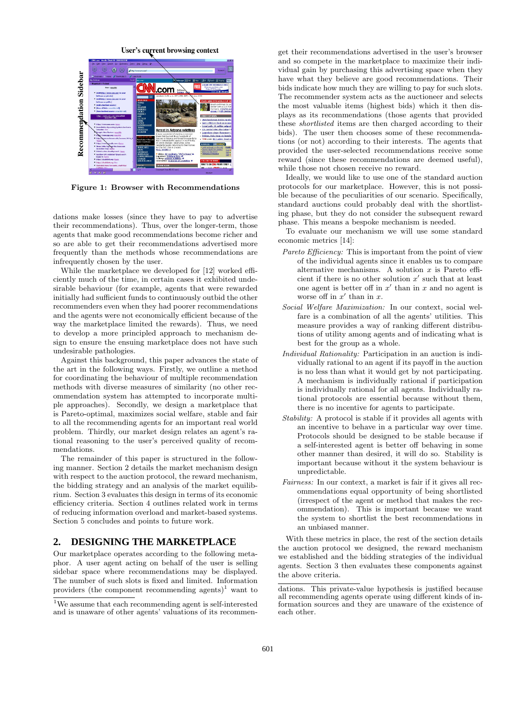User's current browsing context Recommendation Sidebar com rrest in Arizona wildfire

Figure 1: Browser with Recommendations

dations make losses (since they have to pay to advertise their recommendations). Thus, over the longer-term, those agents that make good recommendations become richer and so are able to get their recommendations advertised more frequently than the methods whose recommendations are infrequently chosen by the user.

While the marketplace we developed for [12] worked efficiently much of the time, in certain cases it exhibited undesirable behaviour (for example, agents that were rewarded initially had sufficient funds to continuously outbid the other recommenders even when they had poorer recommendations and the agents were not economically efficient because of the way the marketplace limited the rewards). Thus, we need to develop a more principled approach to mechanism design to ensure the ensuing marketplace does not have such undesirable pathologies.

Against this background, this paper advances the state of the art in the following ways. Firstly, we outline a method for coordinating the behaviour of multiple recommendation methods with diverse measures of similarity (no other recommendation system has attempted to incorporate multiple approaches). Secondly, we design a marketplace that is Pareto-optimal, maximizes social welfare, stable and fair to all the recommending agents for an important real world problem. Thirdly, our market design relates an agent's rational reasoning to the user's perceived quality of recommendations.

The remainder of this paper is structured in the following manner. Section 2 details the market mechanism design with respect to the auction protocol, the reward mechanism, the bidding strategy and an analysis of the market equilibrium. Section 3 evaluates this design in terms of its economic efficiency criteria. Section 4 outlines related work in terms of reducing information overload and market-based systems. Section 5 concludes and points to future work.

## **2. DESIGNING THE MARKETPLACE**

Our marketplace operates according to the following metaphor. A user agent acting on behalf of the user is selling sidebar space where recommendations may be displayed. The number of such slots is fixed and limited. Information providers (the component recommending agents)<sup>1</sup> want to

get their recommendations advertised in the user's browser and so compete in the marketplace to maximize their individual gain by purchasing this advertising space when they have what they believe are good recommendations. Their bids indicate how much they are willing to pay for such slots. The recommender system acts as the auctioneer and selects the most valuable items (highest bids) which it then displays as its recommendations (those agents that provided these shortlisted items are then charged according to their bids). The user then chooses some of these recommendations (or not) according to their interests. The agents that provided the user-selected recommendations receive some reward (since these recommendations are deemed useful), while those not chosen receive no reward.

Ideally, we would like to use one of the standard auction protocols for our marketplace. However, this is not possible because of the peculiarities of our scenario. Specifically, standard auctions could probably deal with the shortlisting phase, but they do not consider the subsequent reward phase. This means a bespoke mechanism is needed.

To evaluate our mechanism we will use some standard economic metrics [14]:

- Pareto Efficiency: This is important from the point of view of the individual agents since it enables us to compare alternative mechanisms. A solution  $x$  is Pareto efficient if there is no other solution  $x'$  such that at least one agent is better off in  $x'$  than in  $x$  and no agent is worse off in  $x'$  than in  $x$ .
- Social Welfare Maximization: In our context, social welfare is a combination of all the agents' utilities. This measure provides a way of ranking different distributions of utility among agents and of indicating what is best for the group as a whole.
- Individual Rationality: Participation in an auction is individually rational to an agent if its payoff in the auction is no less than what it would get by not participating. A mechanism is individually rational if participation is individually rational for all agents. Individually rational protocols are essential because without them, there is no incentive for agents to participate.
- Stability: A protocol is stable if it provides all agents with an incentive to behave in a particular way over time. Protocols should be designed to be stable because if a self-interested agent is better off behaving in some other manner than desired, it will do so. Stability is important because without it the system behaviour is unpredictable.
- Fairness: In our context, a market is fair if it gives all recommendations equal opportunity of being shortlisted (irrespect of the agent or method that makes the recommendation). This is important because we want the system to shortlist the best recommendations in an unbiased manner.

With these metrics in place, the rest of the section details the auction protocol we designed, the reward mechanism we established and the bidding strategies of the individual agents. Section 3 then evaluates these components against the above criteria.

 $^1\rm{We}$  assume that each recommending agent is self-interested and is unaware of other agents' valuations of its recommen-

dations. This private-value hypothesis is justified because all recommending agents operate using different kinds of information sources and they are unaware of the existence of each other.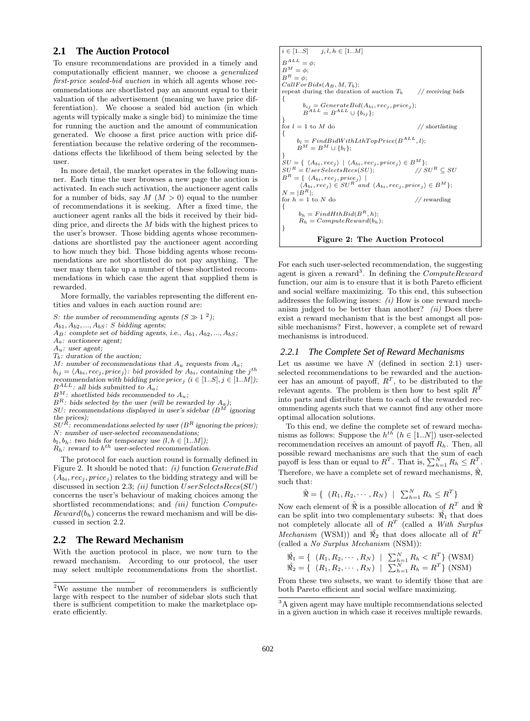## **2.1 The Auction Protocol**

To ensure recommendations are provided in a timely and computationally efficient manner, we choose a generalized first-price sealed-bid auction in which all agents whose recommendations are shortlisted pay an amount equal to their valuation of the advertisement (meaning we have price differentiation). We choose a sealed bid auction (in which agents will typically make a single bid) to minimize the time for running the auction and the amount of communication generated. We choose a first price auction with price differentiation because the relative ordering of the recommendations effects the likelihood of them being selected by the user.

In more detail, the market operates in the following manner. Each time the user browses a new page the auction is activated. In each such activation, the auctioneer agent calls for a number of bids, say  $M (M > 0)$  equal to the number of recommendations it is seeking. After a fixed time, the auctioneer agent ranks all the bids it received by their bidding price, and directs the  $M$  bids with the highest prices to the user's browser. Those bidding agents whose recommendations are shortlisted pay the auctioneer agent according to how much they bid. Those bidding agents whose recommendations are not shortlisted do not pay anything. The user may then take up a number of these shortlisted recommendations in which case the agent that supplied them is rewarded.

More formally, the variables representing the different entities and values in each auction round are:

- S: the number of recommending agents  $(S \gg 1<sup>2</sup>)$ ;
- $\mathcal{A}_{b1}, \mathcal{A}_{b2}, ..., \mathcal{A}_{bS}$ : S bidding agents;
- $A_B$ : complete set of bidding agents, i.e.,  $A_{b1}, A_{b2}, ..., A_{bS}$ ;
- $A_a$ : auctioneer agent;
- $A_u$ : user agent;
- $T<sub>b</sub>$ : duration of the auction;

M: number of recommendations that  $A_u$  requests from  $A_a$ ;

 $b_{ij} = \langle A_{bi}, rec_j, price_j \rangle$ : bid provided by  $A_{bi}$ , containing the j<sup>th</sup> recommendation with bidding price  $price_j$   $(i \in [1..S], j \in [1..M])$ ;  $B^{ALL}$ : all bids submitted to  $A_a$ ;

 ${\cal B}^M\colon$  shortlisted bids recommended to  $A_u,$ 

 $B<sup>R</sup>$ : bids selected by the user (will be rewarded by  $A<sub>a</sub>$ );

 $SU:$  recommendations displayed in user's sidebar  $(B^{M})$  ignoring the prices);  $SU^R$ : recommendations selected by user ( $B^R$  ignoring the prices);

N: number of user-selected recommendations;

 $b_l, b_h$ : two bids for temporary use  $(l, h \in [1..M])$ ;

 $R_h$ : reward to  $h^{th}$  user-selected recommendation.

The protocol for each auction round is formally defined in Figure 2. It should be noted that:  $(i)$  function  $\theta$ enerateBid  $(A_{bi}, rec_j, price_j)$  relates to the bidding strategy and will be discussed in section 2.3; (ii) function  $UserSelectRecs(SU)$ concerns the user's behaviour of making choices among the shortlisted recommendations; and *(iii)* function *Compute*- $Reward(b<sub>h</sub>)$  concerns the reward mechanism and will be discussed in section 2.2.

## **2.2 The Reward Mechanism**

With the auction protocol in place, we now turn to the reward mechanism. According to our protocol, the user may select multiple recommendations from the shortlist.

$$
i \in [1..S] \qquad j, l, h \in [1..M]
$$
\n
$$
B^{ALL} = \phi;
$$
\n
$$
B^N = \phi;
$$
\n
$$
B^R = \phi;
$$
\n
$$
CallForBids(A_B, M, T_b);
$$
\nrepeat during the duration of auction  $T_b$  // receiving bids\n
$$
\begin{cases}\n b_{ij} = GenerateBid(A_{bi}, rec_j, price_j);\n\end{cases}
$$
\n
$$
B^{ALL} = B^{ALL} \cup \{b_{ij}\};
$$
\nfor  $l = 1$  to  $M$  do\n
$$
\begin{cases}\n b_l = FindBidWithLthTopPrice(B^{ALL}, l);\n\end{cases}
$$
\n
$$
SU = \{ \langle A_{bi}, rec_j \rangle \mid \langle A_{bi}, rec_j, price_j \rangle \in B^M \};
$$
\n
$$
SU = \{ \langle A_{bi}, rec_j \rangle \mid \langle A_{bi}, rec_j, price_j \rangle \in B^M \};
$$
\n
$$
SU^R = UserSelectSRec(SU); \qquad // SU^R \subseteq SU\n
$$
B^R = \{ \langle A_{bi}, rec_j, price_j \rangle \mid \langle A_{bi}, rec_j, price_j \rangle \in B^M \};
$$
\n
$$
N = |B^R|;
$$
\nfor  $h = 1$  to  $N$  do\n
$$
\begin{cases}\n b_h = FindHthBid(B^R, h); \\
 b_h = ComputeReward(b_h); \\
 \end{cases}
$$
\nFigure 2: The Auttion Protocol
$$

For each such user-selected recommendation, the suggesting agent is given a reward<sup>3</sup>. In defining the  $ComputeReward$ function, our aim is to ensure that it is both Pareto efficient and social welfare maximizing. To this end, this subsection addresses the following issues:  $(i)$  How is one reward mechanism judged to be better than another?  $(ii)$  Does there exist a reward mechanism that is the best amongst all possible mechanisms? First, however, a complete set of reward mechanisms is introduced.

### *2.2.1 The Complete Set of Reward Mechanisms*

Let us assume we have  $N$  (defined in section 2.1) userselected recommendations to be rewarded and the auctioneer has an amount of payoff,  $R^T$ , to be distributed to the relevant agents. The problem is then how to best split  $R<sup>T</sup>$ into parts and distribute them to each of the rewarded recommending agents such that we cannot find any other more optimal allocation solutions.

To this end, we define the complete set of reward mechanisms as follows: Suppose the  $h^{t\bar{h}}$  ( $h \in [1..N]$ ) user-selected recommendation receives an amount of payoff  $R_h$ . Then, all possible reward mechanisms are such that the sum of each payoff is less than or equal to  $R^T$ . That is,  $\sum_{h=1}^{N} R_h \leq R^T$ . Therefore, we have a complete set of reward mechanisms,  $\hat{\mathcal{R}}$ , such that:

$$
\hat{\mathbf{x}} = \{ (R_1, R_2, \cdots, R_N) | \sum_{h=1}^{N} R_h \leq R^T \}
$$

Now each element of  $\hat{\mathcal{R}}$  is a possible allocation of  $R^T$  and  $\hat{\mathcal{R}}$ can be split into two complementary subsets:  $\hat{\mathfrak{R}}_1$  that does not completely allocate all of  $R^T$  (called a *With Surplus Mechanism* (WSM)) and  $\hat{\mathcal{R}}_2$  that does allocate all of  $R^T$ (called a No Surplus Mechanism (NSM)):

$$
\hat{\mathfrak{R}}_1 = \{ (R_1, R_2, \cdots, R_N) \mid \sum_{h=1}^N R_h < R^T \} \text{ (WSM)}
$$
\n
$$
\hat{\mathfrak{R}}_2 = \{ (R_1, R_2, \cdots, R_N) \mid \sum_{h=1}^N R_h = R^T \} \text{ (NSM)}
$$

From these two subsets, we want to identify those that are both Pareto efficient and social welfare maximizing.

<sup>&</sup>lt;sup>2</sup>We assume the number of recommenders is sufficiently large with respect to the number of sidebar slots such that there is sufficient competition to make the marketplace operate efficiently.

<sup>3</sup>A given agent may have multiple recommendations selected in a given auction in which case it receives multiple rewards.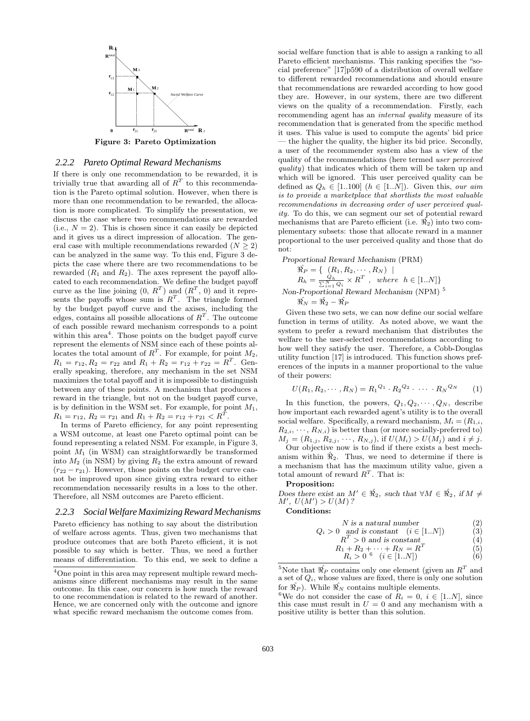

Figure 3: Pareto Optimization

## *2.2.2 Pareto Optimal Reward Mechanisms*

If there is only one recommendation to be rewarded, it is trivially true that awarding all of  $R<sup>T</sup>$  to this recommendation is the Pareto optimal solution. However, when there is more than one recommendation to be rewarded, the allocation is more complicated. To simplify the presentation, we discuss the case where two recommendations are rewarded (i.e.,  $N = 2$ ). This is chosen since it can easily be depicted and it gives us a direct impression of allocation. The general case with multiple recommendations rewarded  $(N \geq 2)$ can be analyzed in the same way. To this end, Figure 3 depicts the case where there are two recommendations to be rewarded  $(R_1 \text{ and } R_2)$ . The axes represent the payoff allocated to each recommendation. We define the budget payoff curve as the line joining  $(0, R^T)$  and  $(R^T, 0)$  and it represents the payoffs whose sum is  $R<sup>T</sup>$ . The triangle formed by the budget payoff curve and the axises, including the edges, contains all possible allocations of  $R<sup>T</sup>$ . The outcome of each possible reward mechanism corresponds to a point within this  $area<sup>4</sup>$ . Those points on the budget payoff curve represent the elements of NSM since each of these points allocates the total amount of  $R<sup>T</sup>$ . For example, for point  $M_2$ ,  $R_1 = r_{12}, R_2 = r_{22} \text{ and } R_1 + R_2 = r_{12} + r_{22} = R^T$ . Generally speaking, therefore, any mechanism in the set NSM maximizes the total payoff and it is impossible to distinguish between any of these points. A mechanism that produces a reward in the triangle, but not on the budget payoff curve, is by definition in the WSM set. For example, for point  $M_1$ ,  $R_1 = r_{12}, R_2 = r_{21} \text{ and } R_1 + R_2 = r_{12} + r_{21} < R^T.$ 

In terms of Pareto efficiency, for any point representing a WSM outcome, at least one Pareto optimal point can be found representing a related NSM. For example, in Figure 3, point  $M_1$  (in WSM) can straightforwardly be transformed into  $M_2$  (in NSM) by giving  $R_2$  the extra amount of reward  $(r_{22} - r_{21})$ . However, those points on the budget curve cannot be improved upon since giving extra reward to either recommendation necessarily results in a loss to the other. Therefore, all NSM outcomes are Pareto efficient.

#### *2.2.3 Social Welfare Maximizing Reward Mechanisms*

Pareto efficiency has nothing to say about the distribution of welfare across agents. Thus, given two mechanisms that produce outcomes that are both Pareto efficient, it is not possible to say which is better. Thus, we need a further means of differentiation. To this end, we seek to define a

social welfare function that is able to assign a ranking to all Pareto efficient mechanisms. This ranking specifies the "social preference" [17]p590 of a distribution of overall welfare to different rewarded recommendations and should ensure that recommendations are rewarded according to how good they are. However, in our system, there are two different views on the quality of a recommendation. Firstly, each recommending agent has an internal quality measure of its recommendation that is generated from the specific method it uses. This value is used to compute the agents' bid price — the higher the quality, the higher its bid price. Secondly, a user of the recommender system also has a view of the quality of the recommendations (here termed user perceived quality) that indicates which of them will be taken up and which will be ignored. This user perceived quality can be defined as  $Q_h \in [1..100]$   $(h \in [1..N])$ . Given this, our aim is to provide a marketplace that shortlists the most valuable recommendations in decreasing order of user perceived quality. To do this, we can segment our set of potential reward mechanisms that are Pareto efficient (i.e.  $\Re_2$ ) into two complementary subsets: those that allocate reward in a manner proportional to the user perceived quality and those that do not:

Proportional Reward Mechanism (PRM)

\n
$$
\widehat{\Re}_{P} = \{ (R_1, R_2, \cdots, R_N) \mid
$$
\n
$$
R_h = \frac{Q_h}{\sum_{i=1}^{N} Q_i} \times R^T, \text{ where } h \in [1..N] \}
$$

Non-Proportional Reward Mechanism (NPM) 
$$
{}^{5}
$$
 $\hat{\Re}_{N} = \hat{\Re}_{2} - \hat{\Re}_{P}$ 

Given these two sets, we can now define our social welfare function in terms of utility. As noted above, we want the system to prefer a reward mechanism that distributes the welfare to the user-selected recommendations according to how well they satisfy the user. Therefore, a Cobb-Douglas utility function [17] is introduced. This function shows preferences of the inputs in a manner proportional to the value of their powers:

$$
U(R_1, R_2, \cdots, R_N) = R_1^{Q_1} \cdot R_2^{Q_2} \cdot \cdots \cdot R_N^{Q_N}
$$
 (1)

In this function, the powers,  $Q_1, Q_2, \cdots, Q_N$ , describe how important each rewarded agent's utility is to the overall social welfare. Specifically, a reward mechanism,  $M_i = (R_{1,i},$  $R_{2,i}, \dots, R_{N,i}$  is better than (or more socially-preferred to)  $M_j = (R_{1,j}, R_{2,j}, \cdots, R_{N,j}),$  if  $U(M_i) > U(M_j)$  and  $i \neq j$ .

Our objective now is to find if there exists a best mechanism within  $\Re_2$ . Thus, we need to determine if there is a mechanism that has the maximum utility value, given a total amount of reward  $R<sup>T</sup>$ . That is:

#### Proposition:

Does there exist an  $M' \in \hat{\mathfrak{R}}_2$ , such that  $\forall M \in \hat{\mathfrak{R}}_2$ , if  $M \neq$  $M'$ ,  $U(M') > U(M)$  ?

Conditions:

$$
N \text{ is a natural number} \tag{2}
$$

$$
Q_i > 0 \quad \text{and is constant} \quad (i \in [1..N]) \tag{3}
$$

$$
R^T > 0
$$
 and is constant  
\n $R_1 + R_2 + \ldots + R_N = R^T$  (4)

$$
R_1 + R_2 + \dots + R_N = R^T
$$
  
\n
$$
R_i > 0^6 \quad (i \in [1..N])
$$
  
\n(6)

$$
\frac{1}{1 - \frac{1}{1 - \frac{1}{1 - \frac{1}{1 - \frac{1}{1 - \frac{1}{1 - \frac{1}{1 - \frac{1}{1 - \frac{1}{1 - \frac{1}{1 - \frac{1}{1 - \frac{1}{1 - \frac{1}{1 - \frac{1}{1 - \frac{1}{1 - \frac{1}{1 - \frac{1}{1 - \frac{1}{1 - \frac{1}{1 - \frac{1}{1 - \frac{1}{1 - \frac{1}{1 - \frac{1}{1 - \frac{1}{1 - \frac{1}{1 - \frac{1}{1 - \frac{1}{1 - \frac{1}{1 - \frac{1}{1 - \frac{1}{1 - \frac{1}{1 - \frac{1}{1 - \frac{1}{1 - \frac{1}{1 - \frac{1}{1 - \frac{1}{1 - \frac{1}{1 - \frac{1}{1 - \frac{1}{1 - \frac{1}{1 - \frac{1}{1 - \frac{1}{1 - \frac{1}{1 - \frac{1}{1 - \frac{1}{1 - \frac{1}{1 - \frac{1}{1 - \frac{1}{1 - \frac{1}{1 - \frac{1}{1 - \frac{1}{1 - \frac{1}{1 - \frac{1}{1 - \frac{1}{1 - \frac{1}{1 - \frac{1}{1 - \frac{1}{1 - \frac{1}{1 - \frac{1}{1 - \frac{1}{1 - \frac{1}{1 - \frac{1}{1 - \frac{1}{1 - \frac{1}{1 - \frac{1}{1 - \frac{1}{1 - \frac{1}{1 - \frac{1}{1 - \frac{1}{1 - \frac{1}{1 - \frac{1}{1 - \frac{1}{1 - \frac{1}{1 - \frac{1}{1 - \frac{1}{1 - \frac{1}{1 - \frac{1}{1 - \frac{1}{1 - \frac{1}{1 - \frac{1}{1 - \frac{1}{1 - \frac{1}{1 - \frac{1}{1 - \frac{1}{1 - \frac{1}{1 - \frac{1}{1 - \frac{1}{1 - \frac{1}{1 - \frac{1}{1 - \frac{1}{1 - \frac{1}{1 - \frac{1}{1 - \frac{1}{1 - \frac{1}{1 - \frac{1}{1 - \frac{1}{1 - \frac{1}{1 - \frac{1}{1 - \frac{1}{1 - \frac{1}{1 - \frac{1}{1 - \frac{1}{1 - \frac{1}{1 - \frac{1}{1 - \frac{1}{1 - \frac{1}{1 - \frac{1}{1 - \frac{1}{1 - \frac{1
$$

<sup>5</sup>Note that  $\hat{\mathcal{R}_P}$  contains only one element (given an  $R^T$  and a set of  $Q_i$ , whose values are fixed, there is only one solution for  $\hat{\mathcal{R}_P}$ ). While  $\hat{\mathcal{R}_N}$  contains multiple elements.

<sup>4</sup>One point in this area may represent multiple reward mechanisms since different mechanisms may result in the same outcome. In this case, our concern is how much the reward to one recommendation is related to the reward of another. Hence, we are concerned only with the outcome and ignore what specific reward mechanism the outcome comes from.

<sup>&</sup>lt;sup>6</sup>We do not consider the case of  $R_i = 0, i \in [1..N]$ , since this case must result in  $U = 0$  and any mechanism with a positive utility is better than this solution.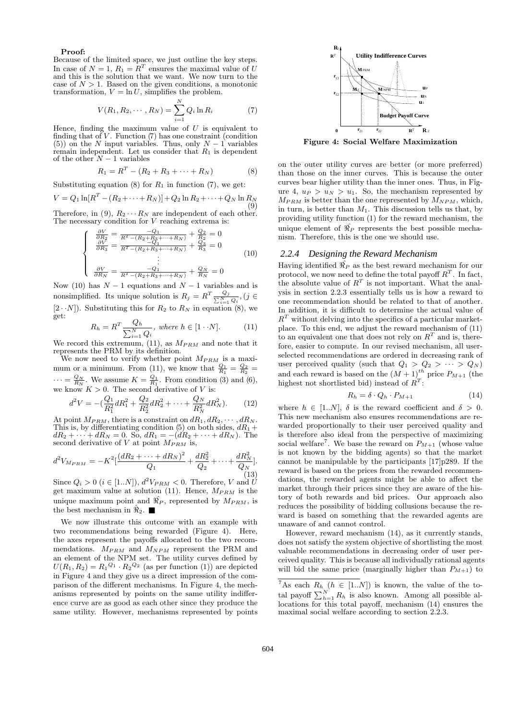#### Proof:

Because of the limited space, we just outline the key steps. In case of  $N = 1, R_1 = R^T$  ensures the maximal value of U and this is the solution that we want. We now turn to the case of  $N > 1$ . Based on the given conditions, a monotonic transformation,  $V = \ln U$ , simplifies the problem.

$$
V(R_1, R_2, \cdots, R_N) = \sum_{i=1}^{N} Q_i \ln R_i \tag{7}
$$

Hence, finding the maximum value of  $U$  is equivalent to finding that of  $V$ . Function  $(7)$  has one constraint (condition (5)) on the N input variables. Thus, only  $N-1$  variables remain independent. Let us consider that  $R_1$  is dependent of the other  $N-1$  variables

$$
R_1 = R^T - (R_2 + R_3 + \dots + R_N)
$$
 (8)

Substituting equation (8) for  $R_1$  in function (7), we get:

$$
V = Q_1 \ln[R^T - (R_2 + \dots + R_N)] + Q_2 \ln R_2 + \dots + Q_N \ln R_N
$$
  
(9)  
Therefore, in (9),  $R_2 \cdots R_N$  are independent of each other.

The necessary condition for  $V$  reaching extrema is:

$$
\begin{cases}\n\frac{\partial V}{\partial R_2} = \frac{-Q_1}{R^T - (R_2 + R_3 + \dots + R_N)} + \frac{Q_2}{R_2} = 0\\ \n\frac{\partial V}{\partial R_3} = \frac{-Q_1}{R^T - (R_2 + R_3 + \dots + R_N)} + \frac{Q_3}{R_3} = 0\\ \n\vdots\\
\frac{\partial V}{\partial R_N} = \frac{-Q_1}{R^T - (R_2 + R_3 + \dots + R_N)} + \frac{Q_N}{R_N} = 0\n\end{cases}
$$
\n(10)

Now (10) has  $N-1$  equations and  $N-1$  variables and is nonsimplified. Its unique solution is  $R_j = R^T \frac{Q_j}{\sum_{i=1}^N Q_i}, (j \in$  $[2 \cdot N]$ ). Substituting this for  $R_2$  to  $R_N$  in equation (8), we get:

$$
R_h = R^T \frac{Q_h}{\sum_{i=1}^N Q_i}, \text{ where } h \in [1 \cdot N]. \tag{11}
$$

We record this extremum, (11), as  $M_{PRM}$  and note that it represents the PRM by its definition.

We now need to verify whether point  $M_{PRM}$  is a maximum or a minimum. From (11), we know that  $\frac{Q_1}{R_1} = \frac{Q_2}{R_2}$  $\cdots = \frac{Q_N}{R_N}$ . We assume  $K = \frac{Q_1}{R_1}$ . From condition (3) and (6), we know  $K > 0$ . The second derivative of V is:

$$
d^2V = -\left(\frac{Q_1}{R_1^2}dR_1^2 + \frac{Q_2}{R_2^2}dR_2^2 + \dots + \frac{Q_N}{R_N^2}dR_N^2\right). \tag{12}
$$

At point  $M_{PRM}$ , there is a constraint on  $dR_1, dR_2, \cdots, dR_N$ . This is, by differentiating condition (5) on both sides,  $dR_1 +$  $dR_2 + \cdots + dR_N = 0$ . So,  $dR_1 = -(dR_2 + \cdots + dR_N)$ . The second derivative of V at point  $M_{PRM}$  is,

$$
d^2V_{M_{PRM}} = -K^2 \left[\frac{(dR_2 + \dots + dR_N)^2}{Q_1} + \frac{dR_2^2}{Q_2} + \dots + \frac{dR_N^2}{Q_N}\right].
$$
 (13)

Since  $Q_i > 0$   $(i \in [1..N]), d^2V_{PRM} < 0$ . Therefore, V and U get maximum value at solution (11). Hence,  $M_{PRM}$  is the unique maximum point and  $\hat{\mathcal{R}}_P$ , represented by  $M_{PRM}$ , is the best mechanism in  $\hat{\mathcal{R}}_2$ .

We now illustrate this outcome with an example with two recommendations being rewarded (Figure 4). Here, the axes represent the payoffs allocated to the two recommendations.  $M_{PRM}$  and  $M_{NPM}$  represent the PRM and an element of the NPM set. The utility curves defined by  $U(R_1, R_2) = R_1^{Q_1} \cdot R_2^{Q_2}$  (as per function (1)) are depicted in Figure 4 and they give us a direct impression of the comparison of the different mechanisms. In Figure 4, the mechanisms represented by points on the same utility indifference curve are as good as each other since they produce the same utility. However, mechanisms represented by points



Figure 4: Social Welfare Maximization

on the outer utility curves are better (or more preferred) than those on the inner curves. This is because the outer curves bear higher utility than the inner ones. Thus, in Figure 4,  $u_P > u_N > u_1$ . So, the mechanism represented by  $M_{PRM}$  is better than the one represented by  $M_{NPM}$ , which, in turn, is better than  $M_1$ . This discussion tells us that, by providing utility function (1) for the reward mechanism, the unique element of  $\hat{\mathcal{H}}_P$  represents the best possible mechanism. Therefore, this is the one we should use.

## *2.2.4 Designing the Reward Mechanism*

Having identified  $\hat{\mathcal{H}}_P$  as the best reward mechanism for our protocol, we now need to define the total payoff  $R<sup>T</sup>$ . In fact, the absolute value of  $R^T$  is not important. What the analysis in section 2.2.3 essentially tells us is how a reward to one recommendation should be related to that of another. In addition, it is difficult to determine the actual value of  $R<sup>T</sup>$  without delving into the specifics of a particular marketplace. To this end, we adjust the reward mechanism of (11) to an equivalent one that does not rely on  $R<sup>T</sup>$  and is, therefore, easier to compute. In our revised mechanism, all userselected recommendations are ordered in decreasing rank of user perceived quality (such that  $Q_1 > Q_2 > \cdots > Q_N$ ) and each reward is based on the  $(M+1)^{th}$  price  $P_{M+1}$  (the highest not shortlisted bid) instead of  $R^T$ :

$$
R_h = \delta \cdot Q_h \cdot P_{M+1} \tag{14}
$$

where  $h \in [1..N], \delta$  is the reward coefficient and  $\delta > 0$ . This new mechanism also ensures recommendations are rewarded proportionally to their user perceived quality and is therefore also ideal from the perspective of maximizing social welfare<sup>7</sup>. We base the reward on  $P_{M+1}$  (whose value is not known by the bidding agents) so that the market cannot be manipulable by the participants [17]p289. If the reward is based on the prices from the rewarded recommendations, the rewarded agents might be able to affect the market through their prices since they are aware of the history of both rewards and bid prices. Our approach also reduces the possibility of bidding collusions because the reward is based on something that the rewarded agents are unaware of and cannot control.

However, reward mechanism (14), as it currently stands, does not satisfy the system objective of shortlisting the most valuable recommendations in decreasing order of user perceived quality. This is because all individually rational agents will bid the same price (marginally higher than  $P_{M+1}$ ) to

<sup>&</sup>lt;sup>7</sup>As each  $R_h$  ( $h \in [1..N]$ ) is known, the value of the total payoff  $\sum_{h=1}^{N} R_h$  is also known. Among all possible allocations for this total payoff, mechanism (14) ensures the maximal social welfare according to section 2.2.3.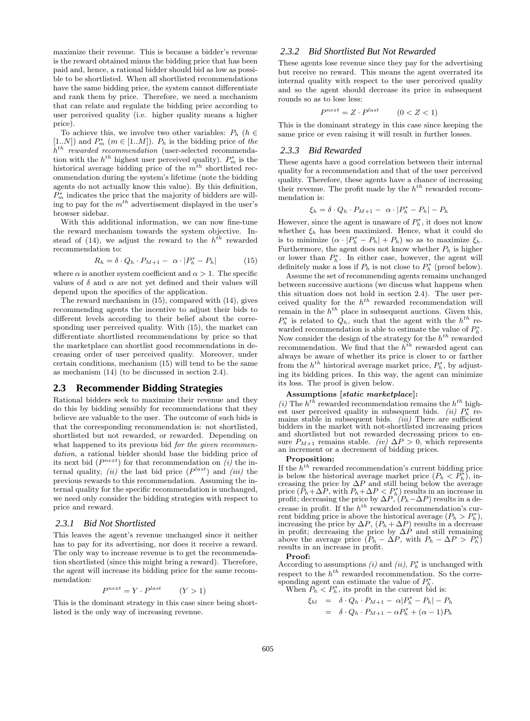maximize their revenue. This is because a bidder's revenue is the reward obtained minus the bidding price that has been paid and, hence, a rational bidder should bid as low as possible to be shortlisted. When all shortlisted recommendations have the same bidding price, the system cannot differentiate and rank them by price. Therefore, we need a mechanism that can relate and regulate the bidding price according to user perceived quality (i.e. higher quality means a higher price).

To achieve this, we involve two other variables:  $P_h$  ( $h \in$ [1..N]) and  $P_m^*$  ( $m \in [1..M]$ ).  $P_h$  is the bidding price of the  $h^{th}$  rewarded recommendation (user-selected recommendation with the  $h^{th}$  highest user perceived quality).  $P_m^*$  is the historical average bidding price of the  $m<sup>th</sup>$  shortlisted recommendation during the system's lifetime (note the bidding agents do not actually know this value). By this definition,  $P_m^*$  indicates the price that the majority of bidders are willing to pay for the  $m^{th}$  advertisement displayed in the user's browser sidebar.

With this additional information, we can now fine-tune the reward mechanism towards the system objective. Instead of (14), we adjust the reward to the  $h^{th}$  rewarded recommendation to:

$$
R_h = \delta \cdot Q_h \cdot P_{M+1} - \alpha \cdot |P_h^* - P_h| \tag{15}
$$

where  $\alpha$  is another system coefficient and  $\alpha > 1$ . The specific values of  $\delta$  and  $\alpha$  are not yet defined and their values will depend upon the specifics of the application.

The reward mechanism in (15), compared with (14), gives recommending agents the incentive to adjust their bids to different levels according to their belief about the corresponding user perceived quality. With (15), the market can differentiate shortlisted recommendations by price so that the marketplace can shortlist good recommendations in decreasing order of user perceived quality. Moreover, under certain conditions, mechanism (15) will tend to be the same as mechanism (14) (to be discussed in section 2.4).

## **2.3 Recommender Bidding Strategies**

Rational bidders seek to maximize their revenue and they do this by bidding sensibly for recommendations that they believe are valuable to the user. The outcome of such bids is that the corresponding recommendation is: not shortlisted, shortlisted but not rewarded, or rewarded. Depending on what happened to its previous bid *for the given recommen*dation, a rational bidder should base the bidding price of its next bid  $(P^{next})$  for that recommendation on  $(i)$  the internal quality, *(ii)* the last bid price  $(P^{last})$  and *(iii)* the previous rewards to this recommendation. Assuming the internal quality for the specific recommendation is unchanged, we need only consider the bidding strategies with respect to price and reward.

#### *2.3.1 Bid Not Shortlisted*

This leaves the agent's revenue unchanged since it neither has to pay for its advertising, nor does it receive a reward. The only way to increase revenue is to get the recommendation shortlisted (since this might bring a reward). Therefore, the agent will increase its bidding price for the same recommendation:

$$
P^{next} = Y \cdot P^{last} \qquad (Y > 1)
$$

This is the dominant strategy in this case since being shortlisted is the only way of increasing revenue.

### *2.3.2 Bid Shortlisted But Not Rewarded*

These agents lose revenue since they pay for the advertising but receive no reward. This means the agent overrated its internal quality with respect to the user perceived quality and so the agent should decrease its price in subsequent rounds so as to lose less:

$$
P^{next} = Z \cdot P^{last} \qquad (0 < Z < 1)
$$

This is the dominant strategy in this case since keeping the same price or even raising it will result in further losses.

## *2.3.3 Bid Rewarded*

These agents have a good correlation between their internal quality for a recommendation and that of the user perceived quality. Therefore, these agents have a chance of increasing their revenue. The profit made by the  $h^{th}$  rewarded recommendation is:

$$
\xi_h = \delta \cdot Q_h \cdot P_{M+1} - \alpha \cdot |P_h^* - P_h| - P_h
$$

However, since the agent is unaware of  $P_h^*$ , it does not know whether  $\xi_h$  has been maximized. Hence, what it could do is to minimize  $(\alpha \cdot |P_h^* - P_h| + P_h)$  so as to maximize  $\xi_h$ . Furthermore, the agent does not know whether  $P_h$  is higher or lower than  $P_h^*$ . In either case, however, the agent will definitely make a loss if  $P_h$  is not close to  $P_h^*$  (proof below).

Assume the set of recommending agents remains unchanged between successive auctions (we discuss what happens when this situation does not hold in section 2.4). The user perceived quality for the  $h^{th}$  rewarded recommendation will remain in the  $h^{th}$  place in subsequent auctions. Given this,  $P_h^*$  is related to  $\hat{Q}_h$ , such that the agent with the  $h^{th}$  rewarded recommendation is able to estimate the value of  $P_h^*$ . Now consider the design of the strategy for the  $h^{th}$  rewarded recommendation. We find that the  $h^{th}$  rewarded agent can always be aware of whether its price is closer to or farther from the  $h^{th}$  historical average market price,  $P_h^*$ , by adjusting its bidding prices. In this way, the agent can minimize its loss. The proof is given below.

#### Assumptions [static marketplace]:

(i) The  $h^{th}$  rewarded recommendation remains the  $h^{th}$  highest user perceived quality in subsequent bids. (ii)  $P_h^*$  remains stable in subsequent bids.  $(iii)$  There are sufficient bidders in the market with not-shortlisted increasing prices and shortlisted but not rewarded decreasing prices to ensure  $P_{M+1}$  remains stable. (iv)  $\Delta P > 0$ , which represents an increment or a decrement of bidding prices.

#### Proposition:

If the  $h^{th}$  rewarded recommendation's current bidding price<br>is below the historical average market price  $(P_h < P_h^*)$ , increasing the price by  $\Delta P$  and still being below the average price  $(P_h + \Delta P, \text{ with } P_h + \Delta P < P_h^*$  results in an increase in profit; decreasing the price by  $\Delta P, (P_h - \Delta P)$  results in a decrease in profit. If the  $h^{th}$  rewarded recommendation's current bidding price is above the historical average  $(P_h > P_h^*)$ , increasing the price by  $\Delta P$ ,  $(P_h + \Delta P)$  results in a decrease in profit; decreasing the price by  $\Delta P$  and still remaining above the average price  $(P_h - \Delta P, \text{ with } P_h - \Delta P > P_h^*$ results in an increase in profit.

#### Proof:

According to assumptions (i) and (ii),  $P_h^*$  is unchanged with respect to the  $h^{th}$  rewarded recommendation. So the corresponding agent can estimate the value of  $P_h^*$ .

When  $P_h < P_h^*$ , its profit in the current bid is:

$$
\xi_{hl} = \delta \cdot Q_h \cdot P_{M+1} - \alpha |P_h^* - P_h| - P_h
$$
  
=  $\delta \cdot Q_h \cdot P_{M+1} - \alpha P_h^* + (\alpha - 1) P_h$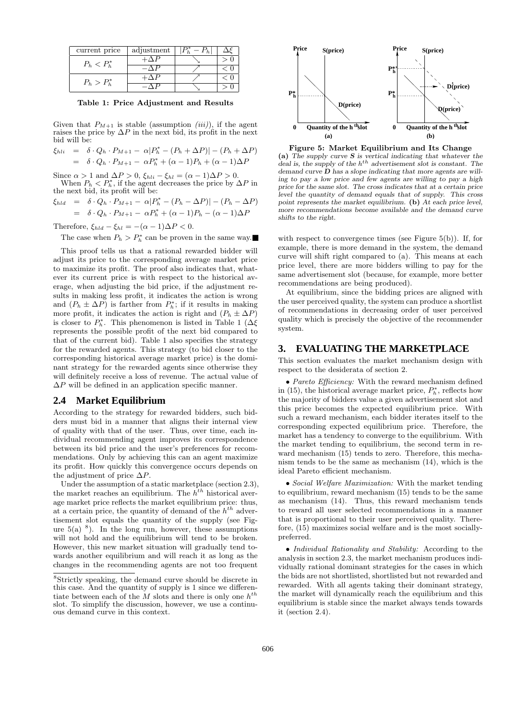| current price | adjustment |  |
|---------------|------------|--|
| $P_h < P_h^*$ |            |  |
|               |            |  |
| $P_h > P_h^*$ |            |  |
|               |            |  |

Table 1: Price Adjustment and Results

Given that  $P_{M+1}$  is stable (assumption *(iii)*), if the agent raises the price by  $\Delta P$  in the next bid, its profit in the next bid will be:

$$
\xi_{hli} = \delta \cdot Q_h \cdot P_{M+1} - \alpha |P_h^* - (P_h + \Delta P)| - (P_h + \Delta P)
$$
  
=  $\delta \cdot Q_h \cdot P_{M+1} - \alpha P_h^* + (\alpha - 1) P_h + (\alpha - 1) \Delta P$ 

Since  $\alpha > 1$  and  $\Delta P > 0$ ,  $\xi_{hli} - \xi_{hl} = (\alpha - 1)\Delta P > 0$ . When  $P_h < P_h^*$ , if the agent decreases the price by  $\Delta P$  in the next bid, its profit will be:

$$
\xi_{hld} = \delta \cdot Q_h \cdot P_{M+1} - \alpha |P_h^* - (P_h - \Delta P)| - (P_h - \Delta P)
$$
  
=  $\delta \cdot Q_h \cdot P_{M+1} - \alpha P_h^* + (\alpha - 1) P_h - (\alpha - 1) \Delta P$ 

Therefore,  $\xi_{hld} - \xi_{hl} = -(\alpha - 1)\Delta P < 0$ .

The case when  $P_h > P_h^*$  can be proven in the same way.

This proof tells us that a rational rewarded bidder will adjust its price to the corresponding average market price to maximize its profit. The proof also indicates that, whatever its current price is with respect to the historical average, when adjusting the bid price, if the adjustment results in making less profit, it indicates the action is wrong and  $(P_h \pm \Delta P)$  is farther from  $P_h^*$ ; if it results in making more profit, it indicates the action is right and  $(P_h \pm \Delta P)$ is closer to  $P_h^*$ . This phenomenon is listed in Table 1 ( $\Delta \xi$ represents the possible profit of the next bid compared to that of the current bid). Table 1 also specifies the strategy for the rewarded agents. This strategy (to bid closer to the corresponding historical average market price) is the dominant strategy for the rewarded agents since otherwise they will definitely receive a loss of revenue. The actual value of  $\Delta P$  will be defined in an application specific manner.

#### **2.4 Market Equilibrium**

According to the strategy for rewarded bidders, such bidders must bid in a manner that aligns their internal view of quality with that of the user. Thus, over time, each individual recommending agent improves its correspondence between its bid price and the user's preferences for recommendations. Only by achieving this can an agent maximize its profit. How quickly this convergence occurs depends on the adjustment of price  $\Delta P$ .

Under the assumption of a static marketplace (section 2.3), the market reaches an equilibrium. The  $h^{th}$  historical average market price reflects the market equilibrium price: thus, at a certain price, the quantity of demand of the  $h^{th}$  advertisement slot equals the quantity of the supply (see Figure  $5(a)$ <sup>8</sup>). In the long run, however, these assumptions will not hold and the equilibrium will tend to be broken. However, this new market situation will gradually tend towards another equilibrium and will reach it as long as the changes in the recommending agents are not too frequent



Figure 5: Market Equilibrium and Its Change (a) The supply curve  $S$  is vertical indicating that whatever the deal is, the supply of the  $h^{th}$  advertisement slot is constant. The demand curve D has a slope indicating that more agents are willing to pay a low price and few agents are willing to pay a high price for the same slot. The cross indicates that at a certain price level the quantity of demand equals that of supply. This cross point represents the market equilibrium. (b) At each price level, more recommendations become available and the demand curve shifts to the right.

with respect to convergence times (see Figure 5(b)). If, for example, there is more demand in the system, the demand curve will shift right compared to (a). This means at each price level, there are more bidders willing to pay for the same advertisement slot (because, for example, more better recommendations are being produced).

At equilibrium, since the bidding prices are aligned with the user perceived quality, the system can produce a shortlist of recommendations in decreasing order of user perceived quality which is precisely the objective of the recommender system.

## **3. EVALUATING THE MARKETPLACE**

This section evaluates the market mechanism design with respect to the desiderata of section 2.

• Pareto Efficiency: With the reward mechanism defined in (15), the historical average market price,  $P_h^*$ , reflects how the majority of bidders value a given advertisement slot and this price becomes the expected equilibrium price. With such a reward mechanism, each bidder iterates itself to the corresponding expected equilibrium price. Therefore, the market has a tendency to converge to the equilibrium. With the market tending to equilibrium, the second term in reward mechanism (15) tends to zero. Therefore, this mechanism tends to be the same as mechanism (14), which is the ideal Pareto efficient mechanism.

• Social Welfare Maximization: With the market tending to equilibrium, reward mechanism (15) tends to be the same as mechanism (14). Thus, this reward mechanism tends to reward all user selected recommendations in a manner that is proportional to their user perceived quality. Therefore, (15) maximizes social welfare and is the most sociallypreferred.

• Individual Rationality and Stability: According to the analysis in section 2.3, the market mechanism produces individually rational dominant strategies for the cases in which the bids are not shortlisted, shortlisted but not rewarded and rewarded. With all agents taking their dominant strategy, the market will dynamically reach the equilibrium and this equilibrium is stable since the market always tends towards it (section 2.4).

<sup>8</sup>Strictly speaking, the demand curve should be discrete in this case. And the quantity of supply is 1 since we differentiate between each of the M slots and there is only one  $h^{th}$ slot. To simplify the discussion, however, we use a continuous demand curve in this context.